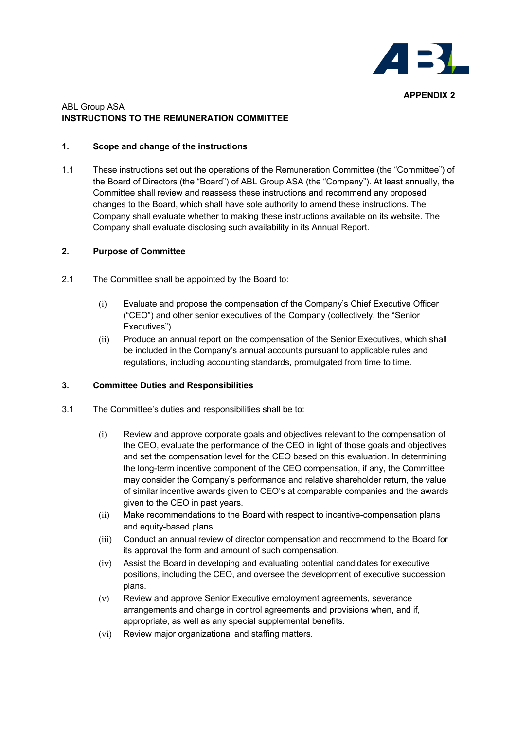

# ABL Group ASA **INSTRUCTIONS TO THE REMUNERATION COMMITTEE**

## **1. Scope and change of the instructions**

1.1 These instructions set out the operations of the Remuneration Committee (the "Committee") of the Board of Directors (the "Board") of ABL Group ASA (the "Company"). At least annually, the Committee shall review and reassess these instructions and recommend any proposed changes to the Board, which shall have sole authority to amend these instructions. The Company shall evaluate whether to making these instructions available on its website. The Company shall evaluate disclosing such availability in its Annual Report.

## **2. Purpose of Committee**

- 2.1 The Committee shall be appointed by the Board to:
	- (i) Evaluate and propose the compensation of the Company's Chief Executive Officer ("CEO") and other senior executives of the Company (collectively, the "Senior Executives").
	- (ii) Produce an annual report on the compensation of the Senior Executives, which shall be included in the Company's annual accounts pursuant to applicable rules and regulations, including accounting standards, promulgated from time to time.

# **3. Committee Duties and Responsibilities**

- 3.1 The Committee's duties and responsibilities shall be to:
	- (i) Review and approve corporate goals and objectives relevant to the compensation of the CEO, evaluate the performance of the CEO in light of those goals and objectives and set the compensation level for the CEO based on this evaluation. In determining the long-term incentive component of the CEO compensation, if any, the Committee may consider the Company's performance and relative shareholder return, the value of similar incentive awards given to CEO's at comparable companies and the awards given to the CEO in past years.
	- (ii) Make recommendations to the Board with respect to incentive-compensation plans and equity-based plans.
	- (iii) Conduct an annual review of director compensation and recommend to the Board for its approval the form and amount of such compensation.
	- (iv) Assist the Board in developing and evaluating potential candidates for executive positions, including the CEO, and oversee the development of executive succession plans.
	- (v) Review and approve Senior Executive employment agreements, severance arrangements and change in control agreements and provisions when, and if, appropriate, as well as any special supplemental benefits.
	- (vi) Review major organizational and staffing matters.